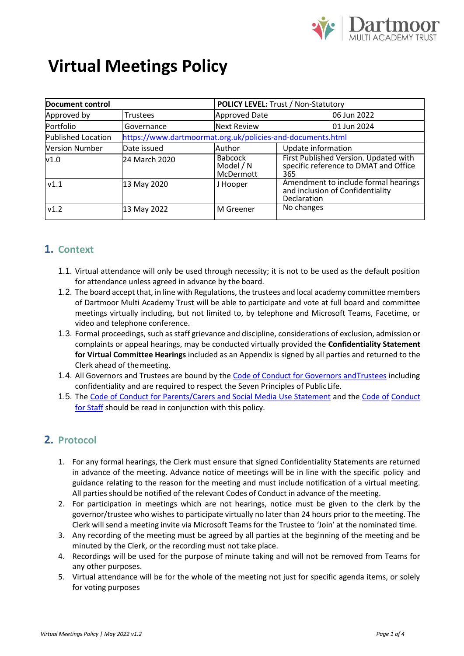

# **Virtual Meetings Policy**

| Document control          |                                                            |                                          | <b>POLICY LEVEL: Trust / Non-Statutory</b>                                              |             |  |
|---------------------------|------------------------------------------------------------|------------------------------------------|-----------------------------------------------------------------------------------------|-------------|--|
| Approved by               | <b>Trustees</b>                                            | Approved Date                            |                                                                                         | 06 Jun 2022 |  |
| Portfolio                 | Governance                                                 | <b>Next Review</b>                       |                                                                                         | 01 Jun 2024 |  |
| <b>Published Location</b> | https://www.dartmoormat.org.uk/policies-and-documents.html |                                          |                                                                                         |             |  |
| <b>Version Number</b>     | Date issued                                                | Author                                   | Update information                                                                      |             |  |
| v1.0                      | 24 March 2020                                              | <b>Babcock</b><br>Model / N<br>McDermott | First Published Version. Updated with<br>specific reference to DMAT and Office<br>365   |             |  |
| V1.1                      | 13 May 2020                                                | J Hooper                                 | Amendment to include formal hearings<br>and inclusion of Confidentiality<br>Declaration |             |  |
| v1.2                      | 13 May 2022                                                | M Greener                                | No changes                                                                              |             |  |

### **1. Context**

- 1.1. Virtual attendance will only be used through necessity; it is not to be used as the default position for attendance unless agreed in advance by the board.
- 1.2. The board accept that, in line with Regulations, the trustees and local academy committee members of Dartmoor Multi Academy Trust will be able to participate and vote at full board and committee meetings virtually including, but not limited to, by telephone and Microsoft Teams, Facetime, or video and telephone conference.
- 1.3. Formal proceedings, such as staff grievance and discipline, considerations of exclusion, admission or complaints or appeal hearings, may be conducted virtually provided the **Confidentiality Statement for Virtual Committee Hearings** included as an Appendix is signed by all parties and returned to the Clerk ahead of themeeting.
- 1.4. All Governors and Trustees are bound by the Code of Conduct for Governors and Trustees including confidentiality and are required to respect the Seven Principles of PublicLife.
- 1.5. The [Code of Conduct for Parents/Carers and Social Media Use Statement](https://www.dartmoormat.org.uk/policies-and-documents.html) and the [Code of](https://www.dartmoormat.org.uk/policies-and-documents.html) [Conduct](https://www.dartmoormat.org.uk/policies-and-documents.html)  [for Staff](https://www.dartmoormat.org.uk/policies-and-documents.html) should be read in conjunction with this policy.

### **2. Protocol**

- 1. For any formal hearings, the Clerk must ensure that signed Confidentiality Statements are returned in advance of the meeting. Advance notice of meetings will be in line with the specific policy and guidance relating to the reason for the meeting and must include notification of a virtual meeting. All parties should be notified of the relevant Codes of Conduct in advance of the meeting.
- 2. For participation in meetings which are not hearings, notice must be given to the clerk by the governor/trustee who wishes to participate virtually no later than 24 hours prior to the meeting. The Clerk will send a meeting invite via Microsoft Teams for the Trustee to 'Join' at the nominated time.
- 3. Any recording of the meeting must be agreed by all parties at the beginning of the meeting and be minuted by the Clerk, or the recording must not take place.
- 4. Recordings will be used for the purpose of minute taking and will not be removed from Teams for any other purposes.
- 5. Virtual attendance will be for the whole of the meeting not just for specific agenda items, or solely for voting purposes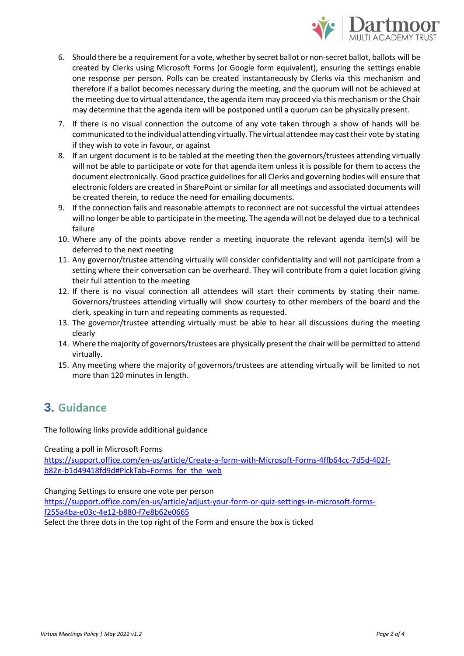

- 6. Should there be a requirement for a vote, whether by secret ballot or non-secret ballot, ballots will be created by Clerks using Microsoft Forms (or Google form equivalent), ensuring the settings enable one response per person. Polls can be created instantaneously by Clerks via this mechanism and therefore if a ballot becomes necessary during the meeting, and the quorum will not be achieved at the meeting due to virtual attendance, the agenda item may proceed via this mechanism or the Chair may determine that the agenda item will be postponed until a quorum can be physically present.
- 7. If there is no visual connection the outcome of any vote taken through a show of hands will be communicated to the individual attending virtually. The virtual attendeemay casttheir vote by stating if they wish to vote in favour, or against
- 8. If an urgent document is to be tabled at the meeting then the governors/trustees attending virtually will not be able to participate or vote for that agenda item unless it is possible for them to access the document electronically. Good practice guidelines for all Clerks and governing bodies will ensure that electronic folders are created in SharePoint or similar for all meetings and associated documents will be created therein, to reduce the need for emailing documents.
- 9. If the connection fails and reasonable attempts to reconnect are not successful the virtual attendees will no longer be able to participate in the meeting. The agenda will not be delayed due to a technical failure
- 10. Where any of the points above render a meeting inquorate the relevant agenda item(s) will be deferred to the next meeting
- 11. Any governor/trustee attending virtually will consider confidentiality and will not participate from a setting where their conversation can be overheard. They will contribute from a quiet location giving their full attention to the meeting
- 12. If there is no visual connection all attendees will start their comments by stating their name. Governors/trustees attending virtually will show courtesy to other members of the board and the clerk, speaking in turn and repeating comments as requested.
- 13. The governor/trustee attending virtually must be able to hear all discussions during the meeting clearly
- 14. Where the majority of governors/trustees are physically present the chair will be permitted to attend virtually.
- 15. Any meeting where the majority of governors/trustees are attending virtually will be limited to not more than 120 minutes in length.

## **3. Guidance**

The following links provide additional guidance

Creating a poll in Microsoft Forms

[https://support.office.com/en-us/article/Create-a-form-with-Microsoft-Forms-4ffb64cc-7d5d-402f](https://support.office.com/en-us/article/Create-a-form-with-Microsoft-Forms-4ffb64cc-7d5d-402f-b82e-b1d49418fd9d#PickTab%3DForms_for_the_web)[b82e-b1d49418fd9d#PickTab=Forms\\_for\\_the\\_web](https://support.office.com/en-us/article/Create-a-form-with-Microsoft-Forms-4ffb64cc-7d5d-402f-b82e-b1d49418fd9d#PickTab%3DForms_for_the_web)

Changing Settings to ensure one vote per person

[https://support.office.com/en-us/article/adjust-your-form-or-quiz-settings-in-microsoft-forms](https://support.office.com/en-us/article/adjust-your-form-or-quiz-settings-in-microsoft-forms-f255a4ba-e03c-4e12-b880-f7e8b62e0665)[f255a4ba-e03c-4e12-b880-f7e8b62e0665](https://support.office.com/en-us/article/adjust-your-form-or-quiz-settings-in-microsoft-forms-f255a4ba-e03c-4e12-b880-f7e8b62e0665)

Select the three dots in the top right of the Form and ensure the box is ticked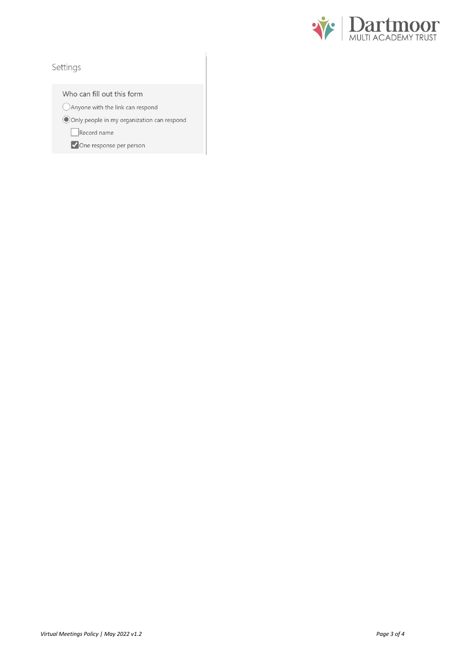

### Settings

Who can fill out this form

○ Anyone with the link can respond

Only people in my organization can respond

 $\Box$ Record name

One response per person